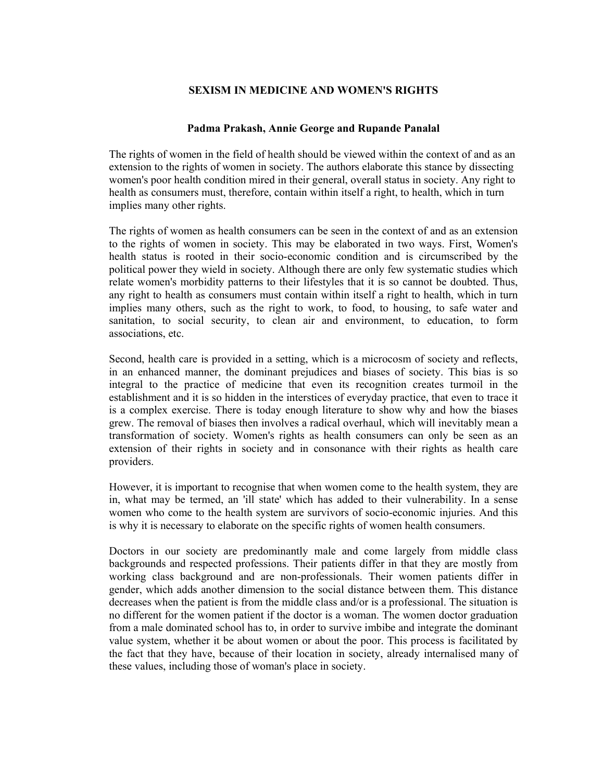## **SEXISM IN MEDICINE AND WOMEN'S RIGHTS**

## **Padma Prakash, Annie George and Rupande Panalal**

The rights of women in the field of health should be viewed within the context of and as an extension to the rights of women in society. The authors elaborate this stance by dissecting women's poor health condition mired in their general, overall status in society. Any right to health as consumers must, therefore, contain within itself a right, to health, which in turn implies many other rights.

The rights of women as health consumers can be seen in the context of and as an extension to the rights of women in society. This may be elaborated in two ways. First, Women's health status is rooted in their socio-economic condition and is circumscribed by the political power they wield in society. Although there are only few systematic studies which relate women's morbidity patterns to their lifestyles that it is so cannot be doubted. Thus, any right to health as consumers must contain within itself a right to health, which in turn implies many others, such as the right to work, to food, to housing, to safe water and sanitation, to social security, to clean air and environment, to education, to form associations, etc.

Second, health care is provided in a setting, which is a microcosm of society and reflects, in an enhanced manner, the dominant prejudices and biases of society. This bias is so integral to the practice of medicine that even its recognition creates turmoil in the establishment and it is so hidden in the interstices of everyday practice, that even to trace it is a complex exercise. There is today enough literature to show why and how the biases grew. The removal of biases then involves a radical overhaul, which will inevitably mean a transformation of society. Women's rights as health consumers can only be seen as an extension of their rights in society and in consonance with their rights as health care providers.

However, it is important to recognise that when women come to the health system, they are in, what may be termed, an 'ill state' which has added to their vulnerability. In a sense women who come to the health system are survivors of socio-economic injuries. And this is why it is necessary to elaborate on the specific rights of women health consumers.

Doctors in our society are predominantly male and come largely from middle class backgrounds and respected professions. Their patients differ in that they are mostly from working class background and are non-professionals. Their women patients differ in gender, which adds another dimension to the social distance between them. This distance decreases when the patient is from the middle class and/or is a professional. The situation is no different for the women patient if the doctor is a woman. The women doctor graduation from a male dominated school has to, in order to survive imbibe and integrate the dominant value system, whether it be about women or about the poor. This process is facilitated by the fact that they have, because of their location in society, already internalised many of these values, including those of woman's place in society.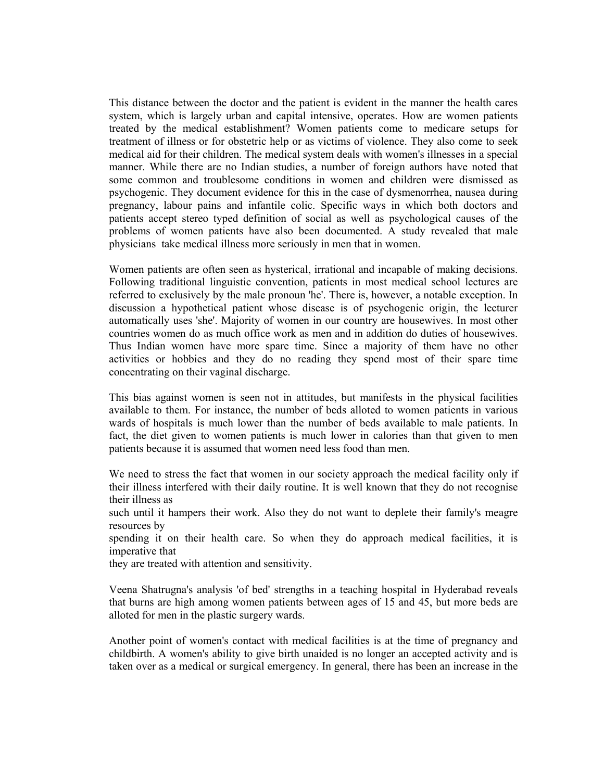This distance between the doctor and the patient is evident in the manner the health cares system, which is largely urban and capital intensive, operates. How are women patients treated by the medical establishment? Women patients come to medicare setups for treatment of illness or for obstetric help or as victims of violence. They also come to seek medical aid for their children. The medical system deals with women's illnesses in a special manner. While there are no Indian studies, a number of foreign authors have noted that some common and troublesome conditions in women and children were dismissed as psychogenic. They document evidence for this in the case of dysmenorrhea, nausea during pregnancy, labour pains and infantile colic. Specific ways in which both doctors and patients accept stereo typed definition of social as well as psychological causes of the problems of women patients have also been documented. A study revealed that male physicians take medical illness more seriously in men that in women.

Women patients are often seen as hysterical, irrational and incapable of making decisions. Following traditional linguistic convention, patients in most medical school lectures are referred to exclusively by the male pronoun 'he'. There is, however, a notable exception. In discussion a hypothetical patient whose disease is of psychogenic origin, the lecturer automatically uses 'she'. Majority of women in our country are housewives. In most other countries women do as much office work as men and in addition do duties of housewives. Thus Indian women have more spare time. Since a majority of them have no other activities or hobbies and they do no reading they spend most of their spare time concentrating on their vaginal discharge.

This bias against women is seen not in attitudes, but manifests in the physical facilities available to them. For instance, the number of beds alloted to women patients in various wards of hospitals is much lower than the number of beds available to male patients. In fact, the diet given to women patients is much lower in calories than that given to men patients because it is assumed that women need less food than men.

We need to stress the fact that women in our society approach the medical facility only if their illness interfered with their daily routine. It is well known that they do not recognise their illness as

such until it hampers their work. Also they do not want to deplete their family's meagre resources by

spending it on their health care. So when they do approach medical facilities, it is imperative that

they are treated with attention and sensitivity.

Veena Shatrugna's analysis 'of bed' strengths in a teaching hospital in Hyderabad reveals that burns are high among women patients between ages of 15 and 45, but more beds are alloted for men in the plastic surgery wards.

Another point of women's contact with medical facilities is at the time of pregnancy and childbirth. A women's ability to give birth unaided is no longer an accepted activity and is taken over as a medical or surgical emergency. In general, there has been an increase in the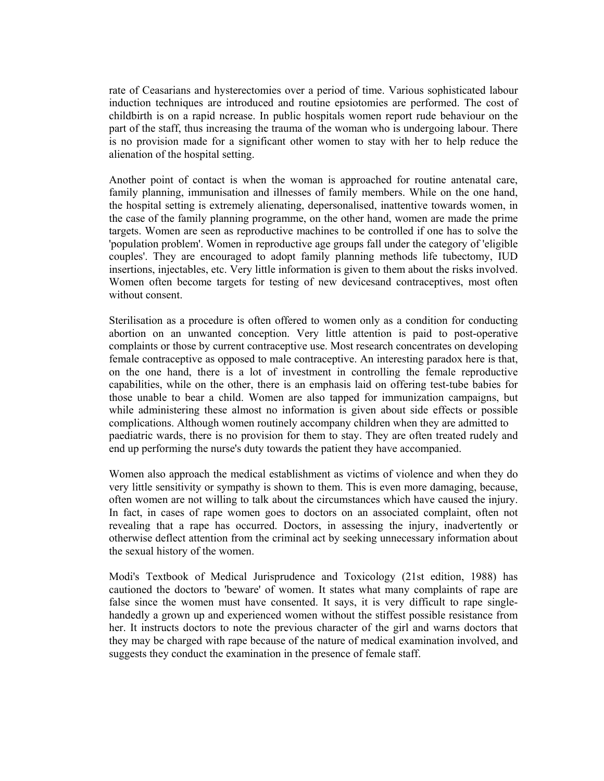rate of Ceasarians and hysterectomies over a period of time. Various sophisticated labour induction techniques are introduced and routine epsiotomies are performed. The cost of childbirth is on a rapid ncrease. In public hospitals women report rude behaviour on the part of the staff, thus increasing the trauma of the woman who is undergoing labour. There is no provision made for a significant other women to stay with her to help reduce the alienation of the hospital setting.

Another point of contact is when the woman is approached for routine antenatal care, family planning, immunisation and illnesses of family members. While on the one hand, the hospital setting is extremely alienating, depersonalised, inattentive towards women, in the case of the family planning programme, on the other hand, women are made the prime targets. Women are seen as reproductive machines to be controlled if one has to solve the 'population problem'. Women in reproductive age groups fall under the category of 'eligible couples'. They are encouraged to adopt family planning methods life tubectomy, IUD insertions, injectables, etc. Very little information is given to them about the risks involved. Women often become targets for testing of new devicesand contraceptives, most often without consent.

Sterilisation as a procedure is often offered to women only as a condition for conducting abortion on an unwanted conception. Very little attention is paid to post-operative complaints or those by current contraceptive use. Most research concentrates on developing female contraceptive as opposed to male contraceptive. An interesting paradox here is that, on the one hand, there is a lot of investment in controlling the female reproductive capabilities, while on the other, there is an emphasis laid on offering test-tube babies for those unable to bear a child. Women are also tapped for immunization campaigns, but while administering these almost no information is given about side effects or possible complications. Although women routinely accompany children when they are admitted to paediatric wards, there is no provision for them to stay. They are often treated rudely and end up performing the nurse's duty towards the patient they have accompanied.

Women also approach the medical establishment as victims of violence and when they do very little sensitivity or sympathy is shown to them. This is even more damaging, because, often women are not willing to talk about the circumstances which have caused the injury. In fact, in cases of rape women goes to doctors on an associated complaint, often not revealing that a rape has occurred. Doctors, in assessing the injury, inadvertently or otherwise deflect attention from the criminal act by seeking unnecessary information about the sexual history of the women.

Modi's Textbook of Medical Jurisprudence and Toxicology (21st edition, 1988) has cautioned the doctors to 'beware' of women. It states what many complaints of rape are false since the women must have consented. It says, it is very difficult to rape singlehandedly a grown up and experienced women without the stiffest possible resistance from her. It instructs doctors to note the previous character of the girl and warns doctors that they may be charged with rape because of the nature of medical examination involved, and suggests they conduct the examination in the presence of female staff.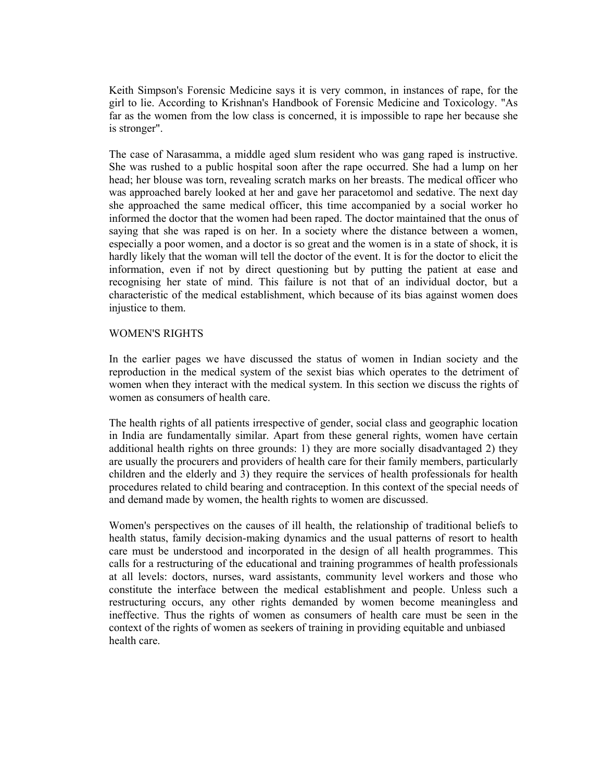Keith Simpson's Forensic Medicine says it is very common, in instances of rape, for the girl to lie. According to Krishnan's Handbook of Forensic Medicine and Toxicology. "As far as the women from the low class is concerned, it is impossible to rape her because she is stronger".

The case of Narasamma, a middle aged slum resident who was gang raped is instructive. She was rushed to a public hospital soon after the rape occurred. She had a lump on her head; her blouse was torn, revealing scratch marks on her breasts. The medical officer who was approached barely looked at her and gave her paracetomol and sedative. The next day she approached the same medical officer, this time accompanied by a social worker ho informed the doctor that the women had been raped. The doctor maintained that the onus of saying that she was raped is on her. In a society where the distance between a women, especially a poor women, and a doctor is so great and the women is in a state of shock, it is hardly likely that the woman will tell the doctor of the event. It is for the doctor to elicit the information, even if not by direct questioning but by putting the patient at ease and recognising her state of mind. This failure is not that of an individual doctor, but a characteristic of the medical establishment, which because of its bias against women does injustice to them.

## WOMEN'S RIGHTS

In the earlier pages we have discussed the status of women in Indian society and the reproduction in the medical system of the sexist bias which operates to the detriment of women when they interact with the medical system. In this section we discuss the rights of women as consumers of health care.

The health rights of all patients irrespective of gender, social class and geographic location in India are fundamentally similar. Apart from these general rights, women have certain additional health rights on three grounds: 1) they are more socially disadvantaged 2) they are usually the procurers and providers of health care for their family members, particularly children and the elderly and 3) they require the services of health professionals for health procedures related to child bearing and contraception. In this context of the special needs of and demand made by women, the health rights to women are discussed.

Women's perspectives on the causes of ill health, the relationship of traditional beliefs to health status, family decision-making dynamics and the usual patterns of resort to health care must be understood and incorporated in the design of all health programmes. This calls for a restructuring of the educational and training programmes of health professionals at all levels: doctors, nurses, ward assistants, community level workers and those who constitute the interface between the medical establishment and people. Unless such a restructuring occurs, any other rights demanded by women become meaningless and ineffective. Thus the rights of women as consumers of health care must be seen in the context of the rights of women as seekers of training in providing equitable and unbiased health care.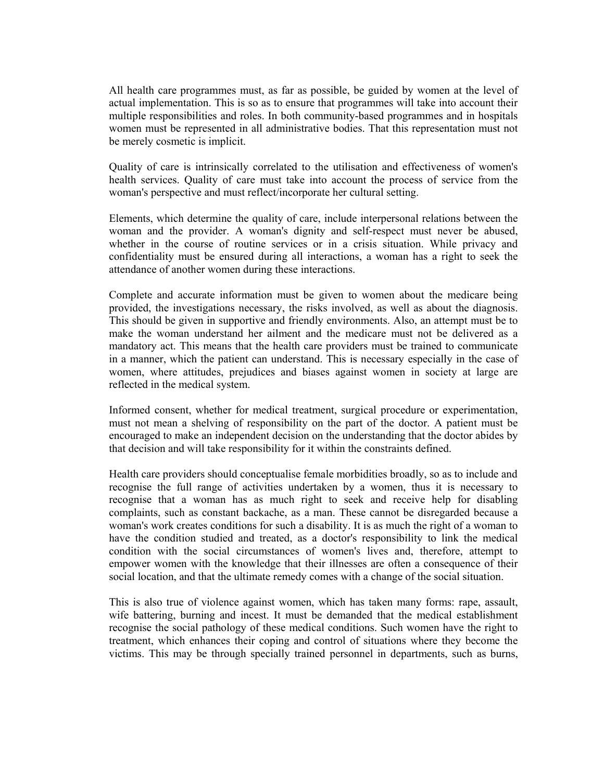All health care programmes must, as far as possible, be guided by women at the level of actual implementation. This is so as to ensure that programmes will take into account their multiple responsibilities and roles. In both community-based programmes and in hospitals women must be represented in all administrative bodies. That this representation must not be merely cosmetic is implicit.

Quality of care is intrinsically correlated to the utilisation and effectiveness of women's health services. Quality of care must take into account the process of service from the woman's perspective and must reflect/incorporate her cultural setting.

Elements, which determine the quality of care, include interpersonal relations between the woman and the provider. A woman's dignity and self-respect must never be abused, whether in the course of routine services or in a crisis situation. While privacy and confidentiality must be ensured during all interactions, a woman has a right to seek the attendance of another women during these interactions.

Complete and accurate information must be given to women about the medicare being provided, the investigations necessary, the risks involved, as well as about the diagnosis. This should be given in supportive and friendly environments. Also, an attempt must be to make the woman understand her ailment and the medicare must not be delivered as a mandatory act. This means that the health care providers must be trained to communicate in a manner, which the patient can understand. This is necessary especially in the case of women, where attitudes, prejudices and biases against women in society at large are reflected in the medical system.

Informed consent, whether for medical treatment, surgical procedure or experimentation, must not mean a shelving of responsibility on the part of the doctor. A patient must be encouraged to make an independent decision on the understanding that the doctor abides by that decision and will take responsibility for it within the constraints defined.

Health care providers should conceptualise female morbidities broadly, so as to include and recognise the full range of activities undertaken by a women, thus it is necessary to recognise that a woman has as much right to seek and receive help for disabling complaints, such as constant backache, as a man. These cannot be disregarded because a woman's work creates conditions for such a disability. It is as much the right of a woman to have the condition studied and treated, as a doctor's responsibility to link the medical condition with the social circumstances of women's lives and, therefore, attempt to empower women with the knowledge that their illnesses are often a consequence of their social location, and that the ultimate remedy comes with a change of the social situation.

This is also true of violence against women, which has taken many forms: rape, assault, wife battering, burning and incest. It must be demanded that the medical establishment recognise the social pathology of these medical conditions. Such women have the right to treatment, which enhances their coping and control of situations where they become the victims. This may be through specially trained personnel in departments, such as burns,